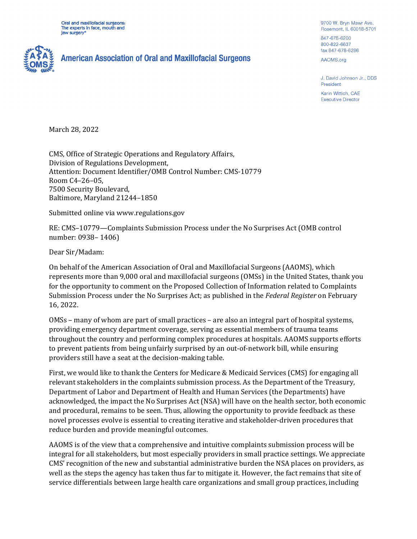Oral and maxillofacial surgeons: The experts in face, mouth and jaw surgery<sup>®</sup>



## **American Association of Oral and Maxillofacial Surgeons**

9700 W. Bryn Mawr Ave. Rosemont, IL 60018-5701

847-678-6200 800-822-6637 fax 847-678-6286

AAOMS.org

J. David Johnson Jr., DDS President

Karin Wittich, CAE **Executive Director** 

March 28, 2022

CMS, Office of Strategic Operations and Regulatory Affairs, Division of Regulations Development, Attention: Document Identifier/OMB Control Number: CMS-10779 Room C4–26–05, 7500 Security Boulevard, Baltimore, Maryland 21244–1850

Submitted online via www.regulations.gov

RE: CMS–10779—Complaints Submission Process under the No Surprises Act (OMB control number: 0938– 1406)

Dear Sir/Madam:

On behalf of the American Association of Oral and Maxillofacial Surgeons (AAOMS), which represents more than 9,000 oral and maxillofacial surgeons (OMSs) in the United States, thank you for the opportunity to comment on the Proposed Collection of Information related to Complaints Submission Process under the No Surprises Act; as published in the *Federal Register* on February 16, 2022.

OMSs – many of whom are part of small practices – are also an integral part of hospital systems, providing emergency department coverage, serving as essential members of trauma teams throughout the country and performing complex procedures at hospitals. AAOMS supports efforts to prevent patients from being unfairly surprised by an out-of-network bill, while ensuring providers still have a seat at the decision-making table.

First, we would like to thank the Centers for Medicare & Medicaid Services (CMS) for engaging all relevant stakeholders in the complaints submission process. As the Department of the Treasury, Department of Labor and Department of Health and Human Services (the Departments) have acknowledged, the impact the No Surprises Act (NSA) will have on the health sector, both economic and procedural, remains to be seen. Thus, allowing the opportunity to provide feedback as these novel processes evolve is essential to creating iterative and stakeholder-driven procedures that reduce burden and provide meaningful outcomes.

AAOMS is of the view that a comprehensive and intuitive complaints submission process will be integral for all stakeholders, but most especially providers in small practice settings. We appreciate CMS' recognition of the new and substantial administrative burden the NSA places on providers, as well as the steps the agency has taken thus far to mitigate it. However, the fact remains that site of service differentials between large health care organizations and small group practices, including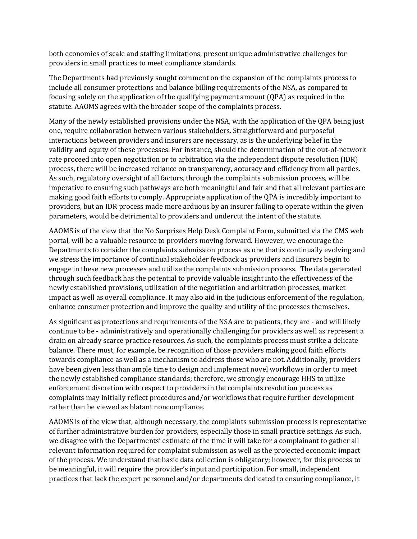both economies of scale and staffing limitations, present unique administrative challenges for providers in small practices to meet compliance standards.

The Departments had previously sought comment on the expansion of the complaints process to include all consumer protections and balance billing requirements of the NSA, as compared to focusing solely on the application of the qualifying payment amount (QPA) as required in the statute. AAOMS agrees with the broader scope of the complaints process.

Many of the newly established provisions under the NSA, with the application of the QPA being just one, require collaboration between various stakeholders. Straightforward and purposeful interactions between providers and insurers are necessary, as is the underlying belief in the validity and equity of these processes. For instance, should the determination of the out-of-network rate proceed into open negotiation or to arbitration via the independent dispute resolution (IDR) process, there will be increased reliance on transparency, accuracy and efficiency from all parties. As such, regulatory oversight of all factors, through the complaints submission process, will be imperative to ensuring such pathways are both meaningful and fair and that all relevant parties are making good faith efforts to comply. Appropriate application of the QPA is incredibly important to providers, but an IDR process made more arduous by an insurer failing to operate within the given parameters, would be detrimental to providers and undercut the intent of the statute.

AAOMS is of the view that the No Surprises Help Desk Complaint Form, submitted via the CMS web portal, will be a valuable resource to providers moving forward. However, we encourage the Departments to consider the complaints submission process as one that is continually evolving and we stress the importance of continual stakeholder feedback as providers and insurers begin to engage in these new processes and utilize the complaints submission process. The data generated through such feedback has the potential to provide valuable insight into the effectiveness of the newly established provisions, utilization of the negotiation and arbitration processes, market impact as well as overall compliance. It may also aid in the judicious enforcement of the regulation, enhance consumer protection and improve the quality and utility of the processes themselves.

As significant as protections and requirements of the NSA are to patients, they are - and will likely continue to be - administratively and operationally challenging for providers as well as represent a drain on already scarce practice resources. As such, the complaints process must strike a delicate balance. There must, for example, be recognition of those providers making good faith efforts towards compliance as well as a mechanism to address those who are not. Additionally, providers have been given less than ample time to design and implement novel workflows in order to meet the newly established compliance standards; therefore, we strongly encourage HHS to utilize enforcement discretion with respect to providers in the complaints resolution process as complaints may initially reflect procedures and/or workflows that require further development rather than be viewed as blatant noncompliance.

AAOMS is of the view that, although necessary, the complaints submission process is representative of further administrative burden for providers, especially those in small practice settings. As such, we disagree with the Departments' estimate of the time it will take for a complainant to gather all relevant information required for complaint submission as well as the projected economic impact of the process. We understand that basic data collection is obligatory; however, for this process to be meaningful, it will require the provider's input and participation. For small, independent practices that lack the expert personnel and/or departments dedicated to ensuring compliance, it